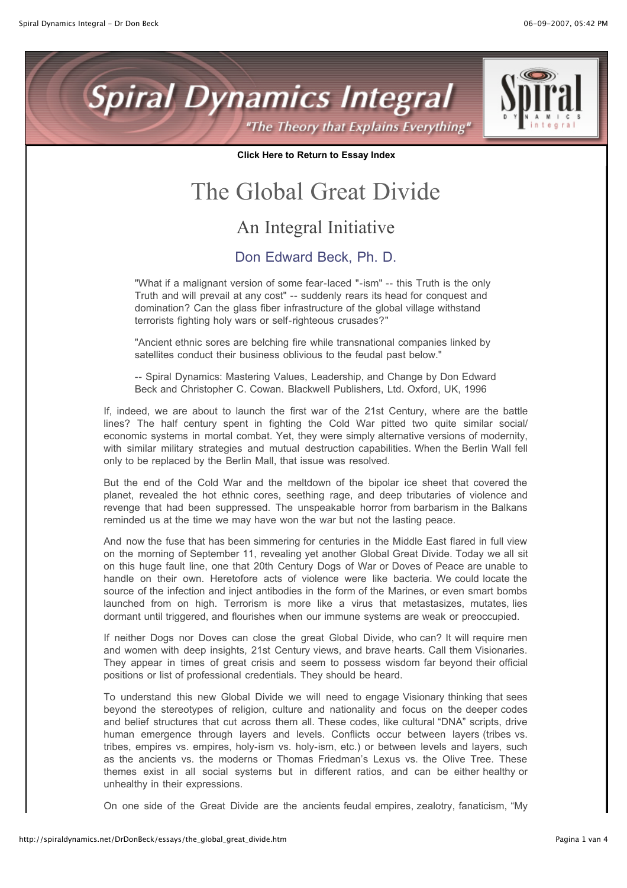



**Click Here to Return to Essay Index**

## The Global Great Divide

## An Integral Initiative

## Don Edward Beck, Ph. D.

"What if a malignant version of some fear-laced "-ism" -- this Truth is the only Truth and will prevail at any cost" -- suddenly rears its head for conquest and domination? Can the glass fiber infrastructure of the global village withstand terrorists fighting holy wars or self-righteous crusades?"

"Ancient ethnic sores are belching fire while transnational companies linked by satellites conduct their business oblivious to the feudal past below."

-- Spiral Dynamics: Mastering Values, Leadership, and Change by Don Edward Beck and Christopher C. Cowan. Blackwell Publishers, Ltd. Oxford, UK, 1996

If, indeed, we are about to launch the first war of the 21st Century, where are the battle lines? The half century spent in fighting the Cold War pitted two quite similar social/ economic systems in mortal combat. Yet, they were simply alternative versions of modernity, with similar military strategies and mutual destruction capabilities. When the Berlin Wall fell only to be replaced by the Berlin Mall, that issue was resolved.

But the end of the Cold War and the meltdown of the bipolar ice sheet that covered the planet, revealed the hot ethnic cores, seething rage, and deep tributaries of violence and revenge that had been suppressed. The unspeakable horror from barbarism in the Balkans reminded us at the time we may have won the war but not the lasting peace.

And now the fuse that has been simmering for centuries in the Middle East flared in full view on the morning of September 11, revealing yet another Global Great Divide. Today we all sit on this huge fault line, one that 20th Century Dogs of War or Doves of Peace are unable to handle on their own. Heretofore acts of violence were like bacteria. We could locate the source of the infection and inject antibodies in the form of the Marines, or even smart bombs launched from on high. Terrorism is more like a virus that metastasizes, mutates, lies dormant until triggered, and flourishes when our immune systems are weak or preoccupied.

If neither Dogs nor Doves can close the great Global Divide, who can? It will require men and women with deep insights, 21st Century views, and brave hearts. Call them Visionaries. They appear in times of great crisis and seem to possess wisdom far beyond their official positions or list of professional credentials. They should be heard.

To understand this new Global Divide we will need to engage Visionary thinking that sees beyond the stereotypes of religion, culture and nationality and focus on the deeper codes and belief structures that cut across them all. These codes, like cultural "DNA" scripts, drive human emergence through layers and levels. Conflicts occur between layers (tribes vs. tribes, empires vs. empires, holy-ism vs. holy-ism, etc.) or between levels and layers, such as the ancients vs. the moderns or Thomas Friedman's Lexus vs. the Olive Tree. These themes exist in all social systems but in different ratios, and can be either healthy or unhealthy in their expressions.

On one side of the Great Divide are the ancients feudal empires, zealotry, fanaticism, "My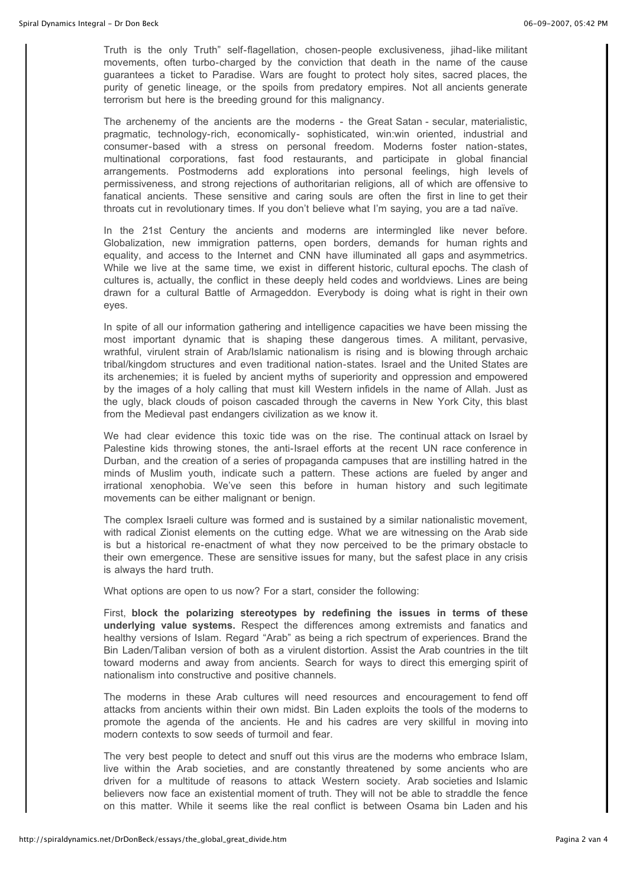Truth is the only Truth" self-flagellation, chosen-people exclusiveness, jihad-like militant movements, often turbo-charged by the conviction that death in the name of the cause guarantees a ticket to Paradise. Wars are fought to protect holy sites, sacred places, the purity of genetic lineage, or the spoils from predatory empires. Not all ancients generate terrorism but here is the breeding ground for this malignancy.

The archenemy of the ancients are the moderns - the Great Satan - secular, materialistic, pragmatic, technology-rich, economically- sophisticated, win:win oriented, industrial and consumer-based with a stress on personal freedom. Moderns foster nation-states, multinational corporations, fast food restaurants, and participate in global financial arrangements. Postmoderns add explorations into personal feelings, high levels of permissiveness, and strong rejections of authoritarian religions, all of which are offensive to fanatical ancients. These sensitive and caring souls are often the first in line to get their throats cut in revolutionary times. If you don't believe what I'm saying, you are a tad naïve.

In the 21st Century the ancients and moderns are intermingled like never before. Globalization, new immigration patterns, open borders, demands for human rights and equality, and access to the Internet and CNN have illuminated all gaps and asymmetrics. While we live at the same time, we exist in different historic, cultural epochs. The clash of cultures is, actually, the conflict in these deeply held codes and worldviews. Lines are being drawn for a cultural Battle of Armageddon. Everybody is doing what is right in their own eyes.

In spite of all our information gathering and intelligence capacities we have been missing the most important dynamic that is shaping these dangerous times. A militant, pervasive, wrathful, virulent strain of Arab/Islamic nationalism is rising and is blowing through archaic tribal/kingdom structures and even traditional nation-states. Israel and the United States are its archenemies; it is fueled by ancient myths of superiority and oppression and empowered by the images of a holy calling that must kill Western infidels in the name of Allah. Just as the ugly, black clouds of poison cascaded through the caverns in New York City, this blast from the Medieval past endangers civilization as we know it.

We had clear evidence this toxic tide was on the rise. The continual attack on Israel by Palestine kids throwing stones, the anti-Israel efforts at the recent UN race conference in Durban, and the creation of a series of propaganda campuses that are instilling hatred in the minds of Muslim youth, indicate such a pattern. These actions are fueled by anger and irrational xenophobia. We've seen this before in human history and such legitimate movements can be either malignant or benign.

The complex Israeli culture was formed and is sustained by a similar nationalistic movement, with radical Zionist elements on the cutting edge. What we are witnessing on the Arab side is but a historical re-enactment of what they now perceived to be the primary obstacle to their own emergence. These are sensitive issues for many, but the safest place in any crisis is always the hard truth.

What options are open to us now? For a start, consider the following:

First, **block the polarizing stereotypes by redefining the issues in terms of these underlying value systems.** Respect the differences among extremists and fanatics and healthy versions of Islam. Regard "Arab" as being a rich spectrum of experiences. Brand the Bin Laden/Taliban version of both as a virulent distortion. Assist the Arab countries in the tilt toward moderns and away from ancients. Search for ways to direct this emerging spirit of nationalism into constructive and positive channels.

The moderns in these Arab cultures will need resources and encouragement to fend off attacks from ancients within their own midst. Bin Laden exploits the tools of the moderns to promote the agenda of the ancients. He and his cadres are very skillful in moving into modern contexts to sow seeds of turmoil and fear.

The very best people to detect and snuff out this virus are the moderns who embrace Islam, live within the Arab societies, and are constantly threatened by some ancients who are driven for a multitude of reasons to attack Western society. Arab societies and Islamic believers now face an existential moment of truth. They will not be able to straddle the fence on this matter. While it seems like the real conflict is between Osama bin Laden and his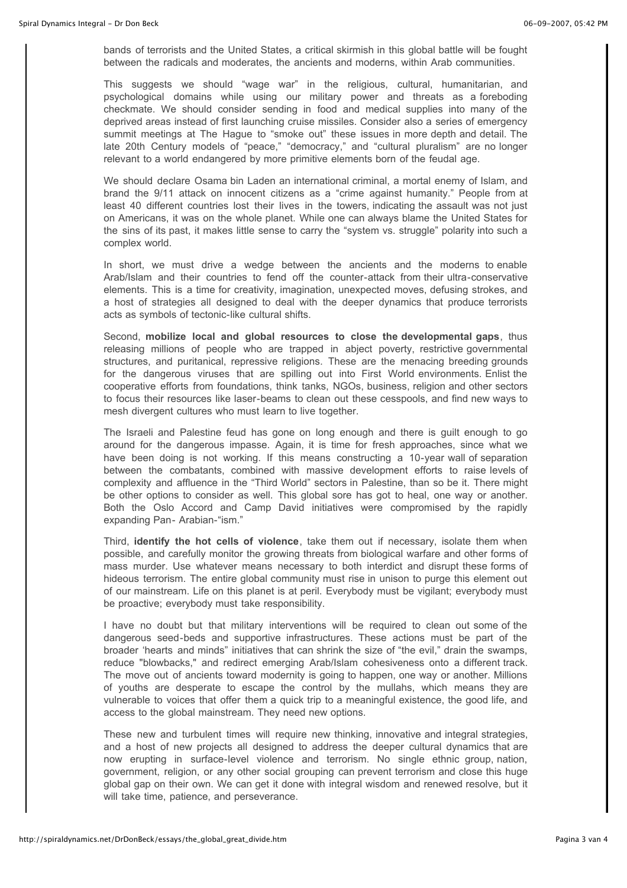bands of terrorists and the United States, a critical skirmish in this global battle will be fought between the radicals and moderates, the ancients and moderns, within Arab communities.

This suggests we should "wage war" in the religious, cultural, humanitarian, and psychological domains while using our military power and threats as a foreboding checkmate. We should consider sending in food and medical supplies into many of the deprived areas instead of first launching cruise missiles. Consider also a series of emergency summit meetings at The Hague to "smoke out" these issues in more depth and detail. The late 20th Century models of "peace," "democracy," and "cultural pluralism" are no longer relevant to a world endangered by more primitive elements born of the feudal age.

We should declare Osama bin Laden an international criminal, a mortal enemy of Islam, and brand the 9/11 attack on innocent citizens as a "crime against humanity." People from at least 40 different countries lost their lives in the towers, indicating the assault was not just on Americans, it was on the whole planet. While one can always blame the United States for the sins of its past, it makes little sense to carry the "system vs. struggle" polarity into such a complex world.

In short, we must drive a wedge between the ancients and the moderns to enable Arab/Islam and their countries to fend off the counter-attack from their ultra-conservative elements. This is a time for creativity, imagination, unexpected moves, defusing strokes, and a host of strategies all designed to deal with the deeper dynamics that produce terrorists acts as symbols of tectonic-like cultural shifts.

Second, **mobilize local and global resources to close the developmental gaps**, thus releasing millions of people who are trapped in abject poverty, restrictive governmental structures, and puritanical, repressive religions. These are the menacing breeding grounds for the dangerous viruses that are spilling out into First World environments. Enlist the cooperative efforts from foundations, think tanks, NGOs, business, religion and other sectors to focus their resources like laser-beams to clean out these cesspools, and find new ways to mesh divergent cultures who must learn to live together.

The Israeli and Palestine feud has gone on long enough and there is guilt enough to go around for the dangerous impasse. Again, it is time for fresh approaches, since what we have been doing is not working. If this means constructing a 10-year wall of separation between the combatants, combined with massive development efforts to raise levels of complexity and affluence in the "Third World" sectors in Palestine, than so be it. There might be other options to consider as well. This global sore has got to heal, one way or another. Both the Oslo Accord and Camp David initiatives were compromised by the rapidly expanding Pan- Arabian-"ism."

Third, **identify the hot cells of violence**, take them out if necessary, isolate them when possible, and carefully monitor the growing threats from biological warfare and other forms of mass murder. Use whatever means necessary to both interdict and disrupt these forms of hideous terrorism. The entire global community must rise in unison to purge this element out of our mainstream. Life on this planet is at peril. Everybody must be vigilant; everybody must be proactive; everybody must take responsibility.

I have no doubt but that military interventions will be required to clean out some of the dangerous seed-beds and supportive infrastructures. These actions must be part of the broader 'hearts and minds" initiatives that can shrink the size of "the evil," drain the swamps, reduce "blowbacks," and redirect emerging Arab/Islam cohesiveness onto a different track. The move out of ancients toward modernity is going to happen, one way or another. Millions of youths are desperate to escape the control by the mullahs, which means they are vulnerable to voices that offer them a quick trip to a meaningful existence, the good life, and access to the global mainstream. They need new options.

These new and turbulent times will require new thinking, innovative and integral strategies, and a host of new projects all designed to address the deeper cultural dynamics that are now erupting in surface-level violence and terrorism. No single ethnic group, nation, government, religion, or any other social grouping can prevent terrorism and close this huge global gap on their own. We can get it done with integral wisdom and renewed resolve, but it will take time, patience, and perseverance.